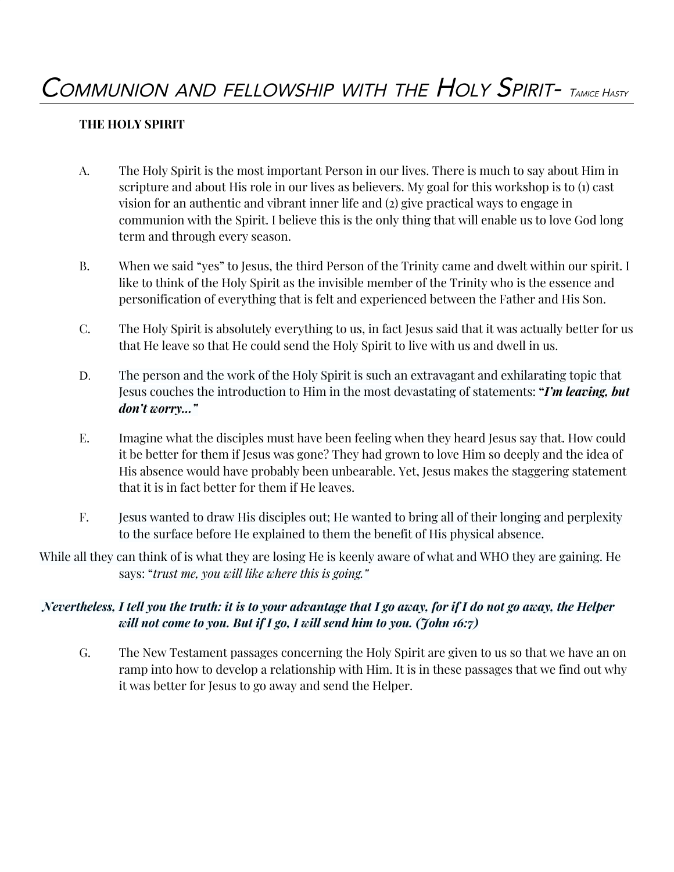### **THE HOLY SPIRIT**

- A. The Holy Spirit is the most important Person in our lives. There is much to say about Him in scripture and about His role in our lives as believers. My goal for this workshop is to (1) cast vision for an authentic and vibrant inner life and (2) give practical ways to engage in communion with the Spirit. I believe this is the only thing that will enable us to love God long term and through every season.
- B. When we said "yes" to Jesus, the third Person of the Trinity came and dwelt within our spirit. I like to think of the Holy Spirit as the invisible member of the Trinity who is the essence and personification of everything that is felt and experienced between the Father and His Son.
- C. The Holy Spirit is absolutely everything to us, in fact Jesus said that it was actually better for us that He leave so that He could send the Holy Spirit to live with us and dwell in us.
- D. The person and the work of the Holy Spirit is such an extravagant and exhilarating topic that Jesus couches the introduction to Him in the most devastating of statements: **"***I'm leaving, but don't worry…"*
- E. Imagine what the disciples must have been feeling when they heard Jesus say that. How could it be better for them if Jesus was gone? They had grown to love Him so deeply and the idea of His absence would have probably been unbearable. Yet, Jesus makes the staggering statement that it is in fact better for them if He leaves.
- F. Jesus wanted to draw His disciples out; He wanted to bring all of their longing and perplexity to the surface before He explained to them the benefit of His physical absence.
- While all they can think of is what they are losing He is keenly aware of what and WHO they are gaining. He says: "*trust me, you will like where this is going."*

## Nevertheless, I tell you the truth: it is to your advantage that I go away, for if I do not go away, the Helper *will not come to you. But if I go, I will send him to you. (John 16:7)*

G. The New Testament passages concerning the Holy Spirit are given to us so that we have an on ramp into how to develop a relationship with Him. It is in these passages that we find out why it was better for Jesus to go away and send the Helper.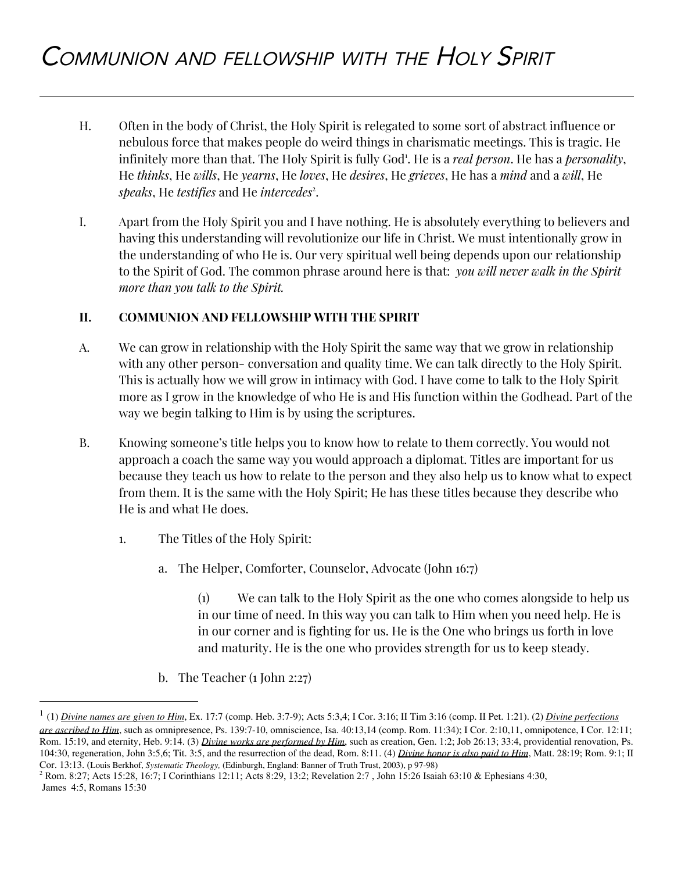- H. Often in the body of Christ, the Holy Spirit is relegated to some sort of abstract influence or nebulous force that makes people do weird things in charismatic meetings. This is tragic. He infinitely more than that. The Holy Spirit is fully God<sup>1</sup>. He is a *real person*. He has a *personality*, He *thinks*, He *wills*, He *yearns*, He *loves*, He *desires*, He *grieves*, He has a *mind* and a *will*, He speaks, He *testifies* and He *intercedes<sup>2</sup>*.
- I. Apart from the Holy Spirit you and I have nothing. He is absolutely everything to believers and having this understanding will revolutionize our life in Christ. We must intentionally grow in the understanding of who He is. Our very spiritual well being depends upon our relationship to the Spirit of God. The common phrase around here is that: *you will never walk in the Spirit more than you talk to the Spirit.*

#### **II. COMMUNION AND FELLOWSHIP WITH THE SPIRIT**

- A. We can grow in relationship with the Holy Spirit the same way that we grow in relationship with any other person- conversation and quality time. We can talk directly to the Holy Spirit. This is actually how we will grow in intimacy with God. I have come to talk to the Holy Spirit more as I grow in the knowledge of who He is and His function within the Godhead. Part of the way we begin talking to Him is by using the scriptures.
- B. Knowing someone's title helps you to know how to relate to them correctly. You would not approach a coach the same way you would approach a diplomat. Titles are important for us because they teach us how to relate to the person and they also help us to know what to expect from them. It is the same with the Holy Spirit; He has these titles because they describe who He is and what He does.
	- 1. The Titles of the Holy Spirit:
		- a. The Helper, Comforter, Counselor, Advocate (John 16:7)

(1) We can talk to the Holy Spirit as the one who comes alongside to help us in our time of need. In this way you can talk to Him when you need help. He is in our corner and is fighting for us. He is the One who brings us forth in love and maturity. He is the one who provides strength for us to keep steady.

b. The Teacher (1 John 2:27)

<sup>1</sup> (1) *Divine names are given to Him*, Ex. 17:7 (comp. Heb. 3:7-9); Acts 5:3,4; I Cor. 3:16; II Tim 3:16 (comp. II Pet. 1:21). (2) *Divine perfections are ascribed to Him*, such as omnipresence, Ps. 139:7-10, omniscience, Isa. 40:13,14 (comp. Rom. 11:34); I Cor. 2:10,11, omnipotence, I Cor. 12:11; Rom. 15:19, and eternity, Heb. 9:14. (3) *Divine works are performed by Him*, such as creation, Gen. 1:2; Job 26:13; 33:4, providential renovation, Ps. 104:30, regeneration, John 3:5,6; Tit. 3:5, and the resurrection of the dead, Rom. 8:11. (4) *Divine honor is also paid to Him*, Matt. 28:19; Rom. 9:1; II Cor. 13:13. (Louis Berkhof, *Systematic Theology,* (Edinburgh, England: Banner of Truth Trust, 2003), p 97-98)

<sup>2</sup> Rom. 8:27; Acts 15:28, 16:7; I Corinthians 12:11; Acts 8:29, 13:2; Revelation 2:7 , John 15:26 Isaiah 63:10 & Ephesians 4:30, James 4:5, Romans 15:30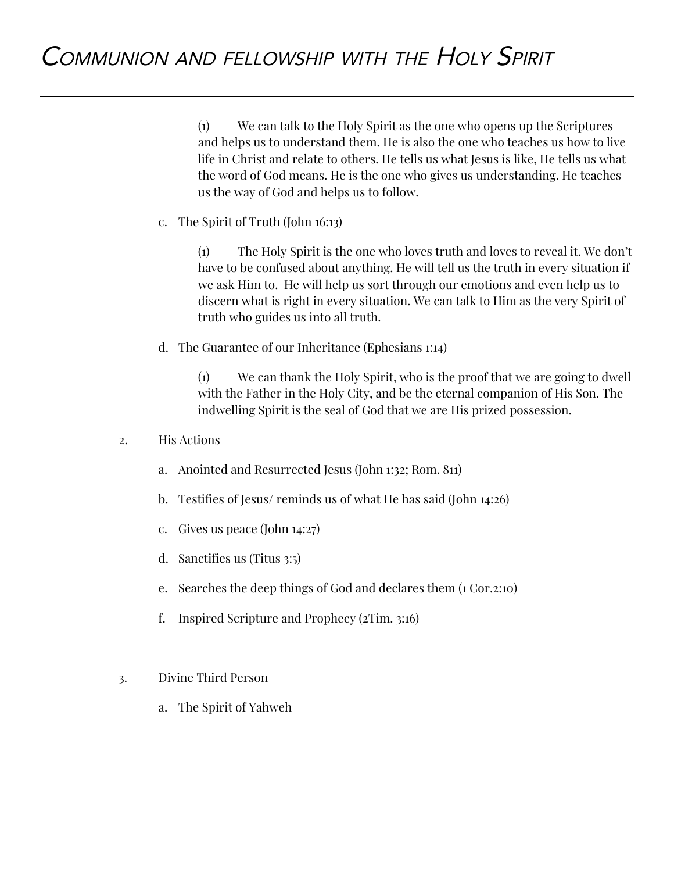(1) We can talk to the Holy Spirit as the one who opens up the Scriptures and helps us to understand them. He is also the one who teaches us how to live life in Christ and relate to others. He tells us what Jesus is like, He tells us what the word of God means. He is the one who gives us understanding. He teaches us the way of God and helps us to follow.

c. The Spirit of Truth (John 16:13)

(1) The Holy Spirit is the one who loves truth and loves to reveal it. We don't have to be confused about anything. He will tell us the truth in every situation if we ask Him to. He will help us sort through our emotions and even help us to discern what is right in every situation. We can talk to Him as the very Spirit of truth who guides us into all truth.

d. The Guarantee of our Inheritance (Ephesians 1:14)

(1) We can thank the Holy Spirit, who is the proof that we are going to dwell with the Father in the Holy City, and be the eternal companion of His Son. The indwelling Spirit is the seal of God that we are His prized possession.

- 2. His Actions
	- a. Anointed and Resurrected Jesus (John 1:32; Rom. 811)
	- b. Testifies of Jesus/ reminds us of what He has said (John 14:26)
	- c. Gives us peace (John 14:27)
	- d. Sanctifies us (Titus 3:5)
	- e. Searches the deep things of God and declares them (1 Cor.2:10)
	- f. Inspired Scripture and Prophecy (2Tim. 3:16)
- 3. Divine Third Person
	- a. The Spirit of Yahweh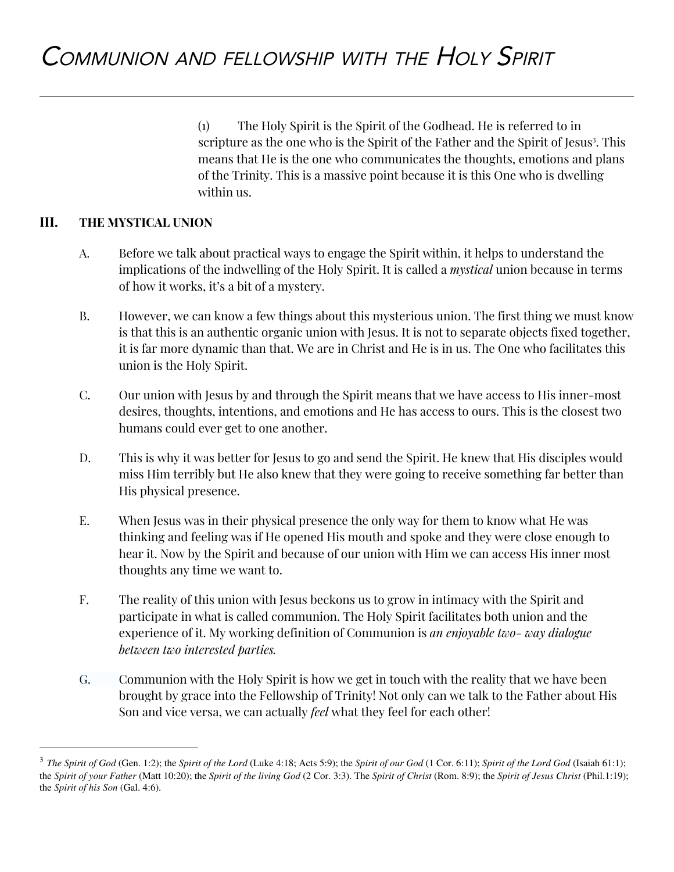(1) The Holy Spirit is the Spirit of the Godhead. He is referred to in scripture as the one who is the Spirit of the Father and the Spirit of Jesus<sup>3</sup>. This means that He is the one who communicates the thoughts, emotions and plans of the Trinity. This is a massive point because it is this One who is dwelling within us.

#### **III. THE MYSTICAL UNION**

- A. Before we talk about practical ways to engage the Spirit within, it helps to understand the implications of the indwelling of the Holy Spirit. It is called a *mystical* union because in terms of how it works, it's a bit of a mystery.
- B. However, we can know a few things about this mysterious union. The first thing we must know is that this is an authentic organic union with Jesus. It is not to separate objects fixed together, it is far more dynamic than that. We are in Christ and He is in us. The One who facilitates this union is the Holy Spirit.
- C. Our union with Jesus by and through the Spirit means that we have access to His inner-most desires, thoughts, intentions, and emotions and He has access to ours. This is the closest two humans could ever get to one another.
- D. This is why it was better for Jesus to go and send the Spirit. He knew that His disciples would miss Him terribly but He also knew that they were going to receive something far better than His physical presence.
- E. When Jesus was in their physical presence the only way for them to know what He was thinking and feeling was if He opened His mouth and spoke and they were close enough to hear it. Now by the Spirit and because of our union with Him we can access His inner most thoughts any time we want to.
- F. The reality of this union with Jesus beckons us to grow in intimacy with the Spirit and participate in what is called communion. The Holy Spirit facilitates both union and the experience of it. My working definition of Communion is *an enjoyable two- way dialogue between two interested parties.*
- G. Communion with the Holy Spirit is how we get in touch with the reality that we have been brought by grace into the Fellowship of Trinity! Not only can we talk to the Father about His Son and vice versa, we can actually *feel* what they feel for each other!

<sup>&</sup>lt;sup>3</sup> The Spirit of God (Gen. 1:2); the Spirit of the Lord (Luke 4:18; Acts 5:9); the Spirit of our God (1 Cor. 6:11); Spirit of the Lord God (Isaiah 61:1); the Spirit of your Father (Matt 10:20); the Spirit of the living God (2 Cor. 3:3). The Spirit of Christ (Rom. 8:9); the Spirit of Jesus Christ (Phil.1:19); the *Spirit of his Son* (Gal. 4:6).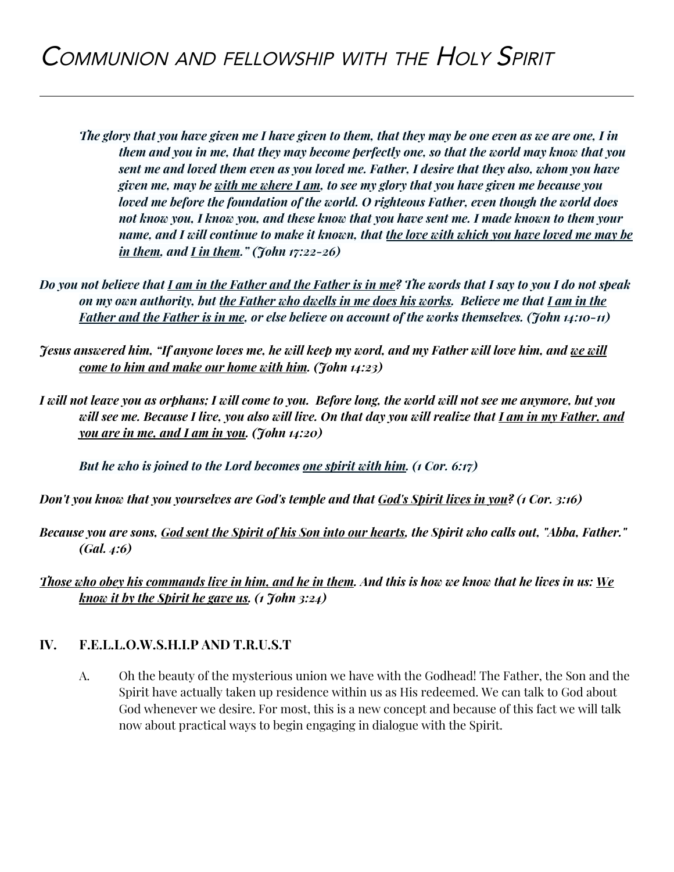- The glory that you have given me I have given to them, that they may be one even as we are one, I in *them and you in me, that they may become perfectly one, so that the world may know that you sent me and loved them even as you loved me. Father, I desire that they also, whom you have* given me, may be <u>with me where I am</u>, to see my glory that you have given me because you *loved me before the foundation of the world. O righteous Father, even though the world does* not know you, I know you, and these know that you have sent me. I made known to them your name, and I will continue to make it known, that <u>the love with which you have loved me may be</u> *in them, and I in them." (John 17:22-26)*
- Do you not believe that <u>I am in the Father and the Father is in me</u>? The words that I say to you I do not speak on my own authority, but the Father who dwells in me does his works. Believe me that I am in the **Father and the Father is in me, or else believe on account of the works themselves. (John 14:10-11)**
- Jesus answered him, "If anyone loves me, he will keep my word, and my Father will love him, and <u>we will</u> *come to him and make our home with him. (John 14:23)*
- I will not leave you as orphans; I will come to you. Before long, the world will not see me anymore, but you will see me. Because I live, you also will live. On that day you will realize that *I am in my Father, and you are in me, and I am in you. (John 14:20)*

*But he who is joined to the Lord becomes one spirit with him. (1 Cor. 6:17)*

Don't you know that you yourselves are God's temple and that God's Spirit lives in you? (1 Cor. 3:16)

Because you are sons, God sent the Spirit of his Son into our hearts, the Spirit who calls out, "Abba, Father." *(Gal. 4:6)*

Those who obey his commands live in him, and he in them. And this is how we know that he lives in us: We *know it by the Spirit he gave us. (1 John 3:24)*

## **IV. F.E.L.L.O.W.S.H.I.P AND T.R.U.S.T**

A. Oh the beauty of the mysterious union we have with the Godhead! The Father, the Son and the Spirit have actually taken up residence within us as His redeemed. We can talk to God about God whenever we desire. For most, this is a new concept and because of this fact we will talk now about practical ways to begin engaging in dialogue with the Spirit.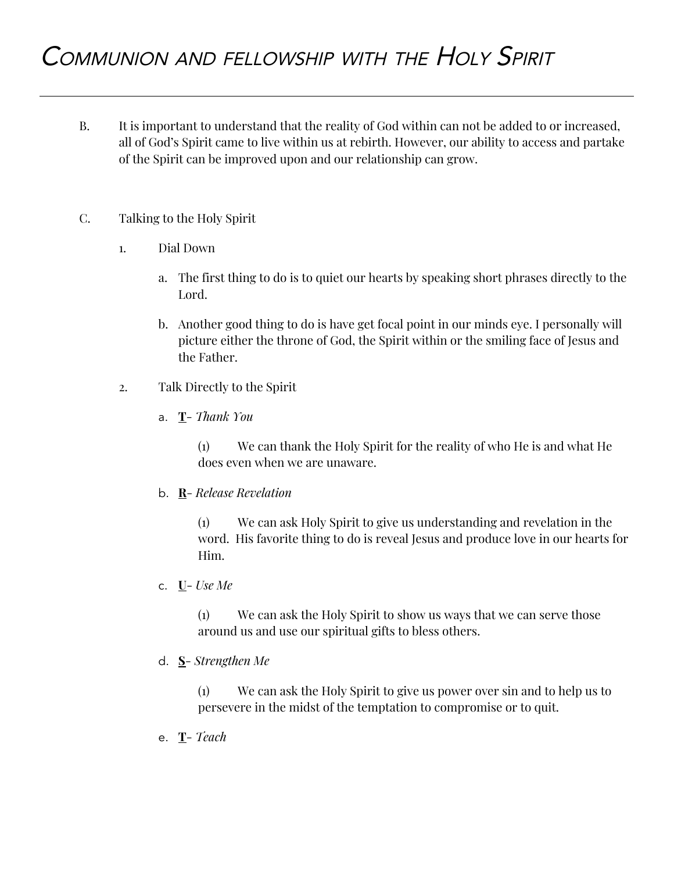- B. It is important to understand that the reality of God within can not be added to or increased, all of God's Spirit came to live within us at rebirth. However, our ability to access and partake of the Spirit can be improved upon and our relationship can grow.
- C. Talking to the Holy Spirit
	- 1. Dial Down
		- a. The first thing to do is to quiet our hearts by speaking short phrases directly to the Lord.
		- b. Another good thing to do is have get focal point in our minds eye. I personally will picture either the throne of God, the Spirit within or the smiling face of Jesus and the Father.
	- 2. Talk Directly to the Spirit
		- a. **T** *Thank You*

(1) We can thank the Holy Spirit for the reality of who He is and what He does even when we are unaware.

b. **R**- *Release Revelation*

(1) We can ask Holy Spirit to give us understanding and revelation in the word. His favorite thing to do is reveal Jesus and produce love in our hearts for Him.

c. **U**- *Use Me*

(1) We can ask the Holy Spirit to show us ways that we can serve those around us and use our spiritual gifts to bless others.

d. **S**- *Strengthen Me*

(1) We can ask the Holy Spirit to give us power over sin and to help us to persevere in the midst of the temptation to compromise or to quit.

e. **T**- *Teach*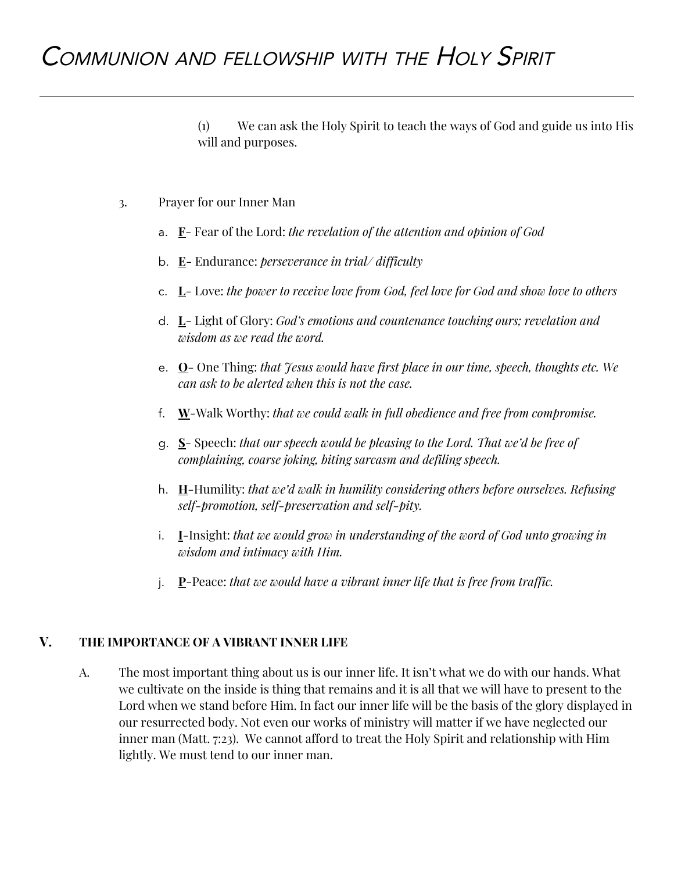## COMMUNION AND FELLOWSHIP WITH THE HOLY SPIRIT

(1) We can ask the Holy Spirit to teach the ways of God and guide us into His will and purposes.

- 3. Prayer for our Inner Man
	- a. **F** Fear of the Lord: *the revelation of the attention and opinion of God*
	- b. **E** Endurance: *perseverance in trial/ difficulty*
	- c. **L** Love: *the power to receive love from God, feel love for God and show love to others*
	- d. **L** Light of Glory: *God's emotions and countenance touching ours; revelation and wisdom as we read the word.*
	- e. **O** One Thing: *that Jesus would have first place in our time, speech, thoughts etc. We can ask to be alerted when this is not the case.*
	- f. **W**-Walk Worthy: *that we could walk in full obedience and free from compromise.*
	- g. **S** Speech: *that our speech would be pleasing to the Lord. That we'd be free of complaining, coarse joking, biting sarcasm and defiling speech.*
	- h. **H**-Humility: *that we'd walk in humility considering others before ourselves. Refusing self-promotion, self-preservation and self-pity.*
	- i. **I**-Insight: *that we would grow in understanding of the word of God unto growing in wisdom and intimacy with Him.*
	- j. **P**-Peace: *that we would have a vibrant inner life that is free from traffic.*

#### **V. THE IMPORTANCE OF A VIBRANT INNER LIFE**

A. The most important thing about us is our inner life. It isn't what we do with our hands. What we cultivate on the inside is thing that remains and it is all that we will have to present to the Lord when we stand before Him. In fact our inner life will be the basis of the glory displayed in our resurrected body. Not even our works of ministry will matter if we have neglected our inner man (Matt. 7:23). We cannot afford to treat the Holy Spirit and relationship with Him lightly. We must tend to our inner man.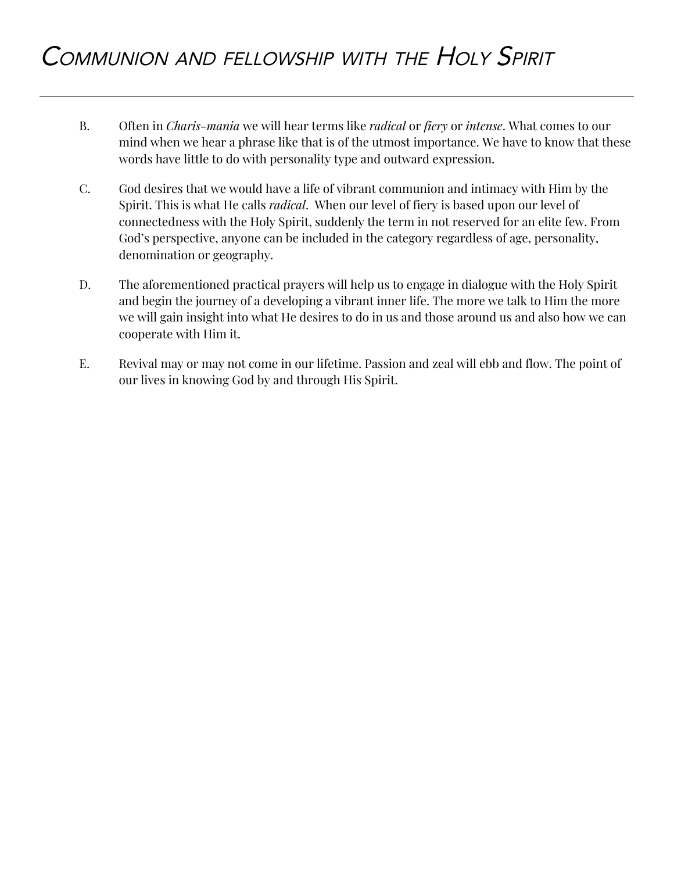- B. Often in *Charis-mania* we will hear terms like *radical* or *fiery* or *intense*. What comes to our mind when we hear a phrase like that is of the utmost importance. We have to know that these words have little to do with personality type and outward expression.
- C. God desires that we would have a life of vibrant communion and intimacy with Him by the Spirit. This is what He calls *radical*. When our level of fiery is based upon our level of connectedness with the Holy Spirit, suddenly the term in not reserved for an elite few. From God's perspective, anyone can be included in the category regardless of age, personality, denomination or geography.
- D. The aforementioned practical prayers will help us to engage in dialogue with the Holy Spirit and begin the journey of a developing a vibrant inner life. The more we talk to Him the more we will gain insight into what He desires to do in us and those around us and also how we can cooperate with Him it.
- E. Revival may or may not come in our lifetime. Passion and zeal will ebb and flow. The point of our lives in knowing God by and through His Spirit.